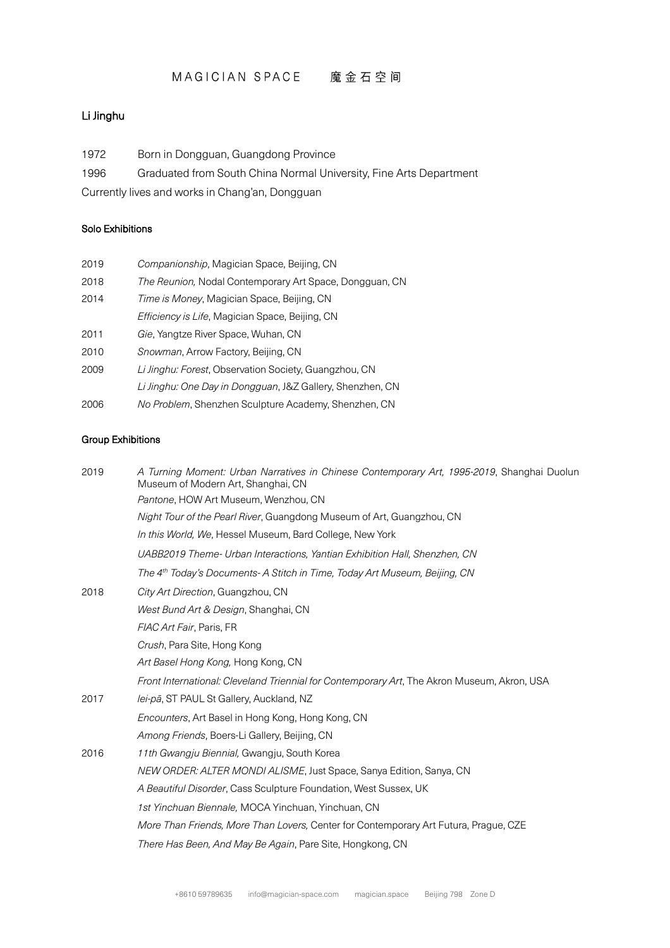## MAGICIAN SPACE 魔金石空间

### Li Jinghu

| Born in Dongguan, Guangdong Province |
|--------------------------------------|
|--------------------------------------|

1996 Graduated from South China Normal University, Fine Arts Department

Currently lives and works in Chang'an, Dongguan

#### Solo Exhibitions

| 2019 | Companionship, Magician Space, Beijing, CN                |
|------|-----------------------------------------------------------|
| 2018 | The Reunion, Nodal Contemporary Art Space, Dongguan, CN   |
| 2014 | Time is Money, Magician Space, Beijing, CN                |
|      | <i>Efficiency is Life</i> , Magician Space, Beijing, CN   |
| 2011 | Gie, Yangtze River Space, Wuhan, CN                       |
| 2010 | <i>Snowman</i> , Arrow Factory, Beijing, CN               |
| 2009 | Li Jinghu: Forest, Observation Society, Guangzhou, CN     |
|      | Li Jinghu: One Day in Dongguan, J&Z Gallery, Shenzhen, CN |
| 2006 | No Problem, Shenzhen Sculpture Academy, Shenzhen, CN      |

#### Group Exhibitions

| 2019 | A Turning Moment: Urban Narratives in Chinese Contemporary Art, 1995-2019, Shanghai Duolun<br>Museum of Modern Art, Shanghai, CN |
|------|----------------------------------------------------------------------------------------------------------------------------------|
|      | Pantone, HOW Art Museum, Wenzhou, CN                                                                                             |
|      | Night Tour of the Pearl River, Guangdong Museum of Art, Guangzhou, CN                                                            |
|      | In this World, We, Hessel Museum, Bard College, New York                                                                         |
|      | UABB2019 Theme- Urban Interactions, Yantian Exhibition Hall, Shenzhen, CN                                                        |
|      | The 4 <sup>th</sup> Today's Documents- A Stitch in Time, Today Art Museum, Beijing, CN                                           |
| 2018 | City Art Direction, Guangzhou, CN                                                                                                |
|      | West Bund Art & Design, Shanghai, CN                                                                                             |
|      | FIAC Art Fair, Paris, FR                                                                                                         |
|      | Crush, Para Site, Hong Kong                                                                                                      |
|      | Art Basel Hong Kong, Hong Kong, CN                                                                                               |
|      | Front International: Cleveland Triennial for Contemporary Art, The Akron Museum, Akron, USA                                      |
| 2017 | lei-pā, ST PAUL St Gallery, Auckland, NZ                                                                                         |
|      | Encounters, Art Basel in Hong Kong, Hong Kong, CN                                                                                |
|      | Among Friends, Boers-Li Gallery, Beijing, CN                                                                                     |
| 2016 | 11th Gwangju Biennial, Gwangju, South Korea                                                                                      |
|      | NEW ORDER: ALTER MONDI ALISME, Just Space, Sanya Edition, Sanya, CN                                                              |
|      | A Beautiful Disorder, Cass Sculpture Foundation, West Sussex, UK                                                                 |
|      | 1st Yinchuan Biennale, MOCA Yinchuan, Yinchuan, CN                                                                               |
|      | More Than Friends, More Than Lovers, Center for Contemporary Art Futura, Prague, CZE                                             |
|      | There Has Been, And May Be Again, Pare Site, Hongkong, CN                                                                        |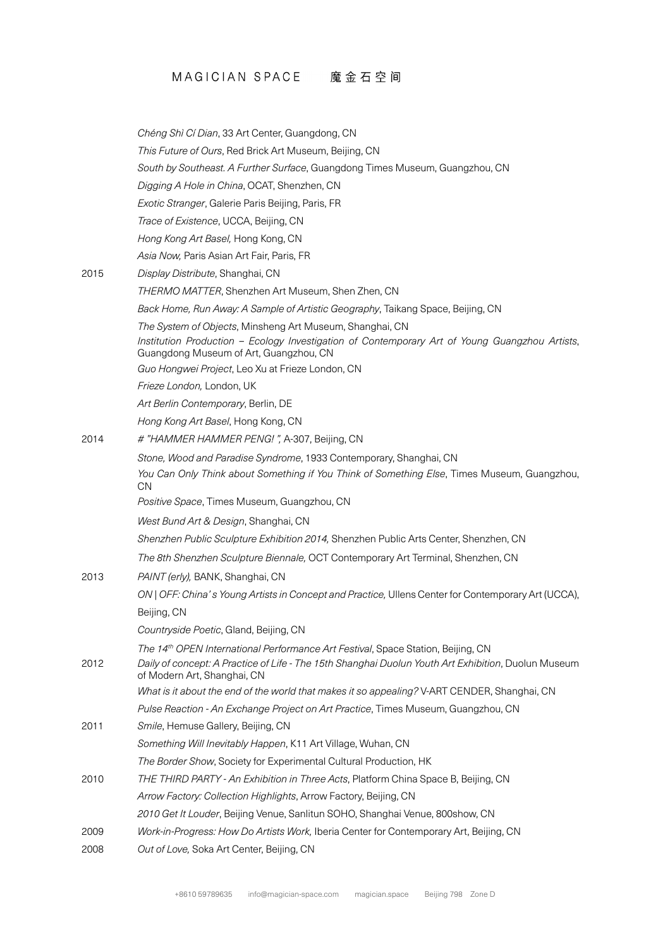# MAGICIAN SPACE 魔金石空间

|      | Chéng Shì Cí Dian, 33 Art Center, Guangdong, CN                                                                                                                                                     |
|------|-----------------------------------------------------------------------------------------------------------------------------------------------------------------------------------------------------|
|      | This Future of Ours, Red Brick Art Museum, Beijing, CN                                                                                                                                              |
|      | South by Southeast. A Further Surface, Guangdong Times Museum, Guangzhou, CN                                                                                                                        |
|      | Digging A Hole in China, OCAT, Shenzhen, CN                                                                                                                                                         |
|      | Exotic Stranger, Galerie Paris Beijing, Paris, FR                                                                                                                                                   |
|      | Trace of Existence, UCCA, Beijing, CN                                                                                                                                                               |
|      | Hong Kong Art Basel, Hong Kong, CN                                                                                                                                                                  |
|      | Asia Now, Paris Asian Art Fair, Paris, FR                                                                                                                                                           |
| 2015 | Display Distribute, Shanghai, CN                                                                                                                                                                    |
|      | THERMO MATTER, Shenzhen Art Museum, Shen Zhen, CN                                                                                                                                                   |
|      | Back Home, Run Away: A Sample of Artistic Geography, Taikang Space, Beijing, CN                                                                                                                     |
|      | The System of Objects, Minsheng Art Museum, Shanghai, CN                                                                                                                                            |
|      | Institution Production - Ecology Investigation of Contemporary Art of Young Guangzhou Artists,<br>Guangdong Museum of Art, Guangzhou, CN                                                            |
|      | Guo Hongwei Project, Leo Xu at Frieze London, CN                                                                                                                                                    |
|      | Frieze London, London, UK                                                                                                                                                                           |
|      | Art Berlin Contemporary, Berlin, DE                                                                                                                                                                 |
|      | Hong Kong Art Basel, Hong Kong, CN                                                                                                                                                                  |
| 2014 | # "HAMMER HAMMER PENG!", A-307, Beijing, CN                                                                                                                                                         |
|      | Stone, Wood and Paradise Syndrome, 1933 Contemporary, Shanghai, CN                                                                                                                                  |
|      | You Can Only Think about Something if You Think of Something Else, Times Museum, Guangzhou,<br><b>CN</b>                                                                                            |
|      | Positive Space, Times Museum, Guangzhou, CN                                                                                                                                                         |
|      | West Bund Art & Design, Shanghai, CN                                                                                                                                                                |
|      | Shenzhen Public Sculpture Exhibition 2014, Shenzhen Public Arts Center, Shenzhen, CN                                                                                                                |
|      | The 8th Shenzhen Sculpture Biennale, OCT Contemporary Art Terminal, Shenzhen, CN                                                                                                                    |
| 2013 | PAINT (erly), BANK, Shanghai, CN                                                                                                                                                                    |
|      | ON   OFF: China's Young Artists in Concept and Practice, Ullens Center for Contemporary Art (UCCA),                                                                                                 |
|      | Beijing, CN                                                                                                                                                                                         |
|      | Countryside Poetic, Gland, Beijing, CN                                                                                                                                                              |
| 2012 | The 14 <sup>th</sup> OPEN International Performance Art Festival, Space Station, Beijing, CN<br>Daily of concept: A Practice of Life - The 15th Shanghai Duolun Youth Art Exhibition, Duolun Museum |
|      | of Modern Art, Shanghai, CN                                                                                                                                                                         |
|      | What is it about the end of the world that makes it so appealing? V-ART CENDER, Shanghai, CN                                                                                                        |
|      | Pulse Reaction - An Exchange Project on Art Practice, Times Museum, Guangzhou, CN                                                                                                                   |
| 2011 | Smile, Hemuse Gallery, Beijing, CN                                                                                                                                                                  |
|      | Something Will Inevitably Happen, K11 Art Village, Wuhan, CN                                                                                                                                        |
|      | The Border Show, Society for Experimental Cultural Production, HK                                                                                                                                   |
| 2010 | THE THIRD PARTY - An Exhibition in Three Acts, Platform China Space B, Beijing, CN                                                                                                                  |
|      | Arrow Factory: Collection Highlights, Arrow Factory, Beijing, CN                                                                                                                                    |
|      | 2010 Get It Louder, Beijing Venue, Sanlitun SOHO, Shanghai Venue, 800show, CN                                                                                                                       |
| 2009 | Work-in-Progress: How Do Artists Work, Iberia Center for Contemporary Art, Beijing, CN                                                                                                              |
| 2008 | Out of Love, Soka Art Center, Beijing, CN                                                                                                                                                           |